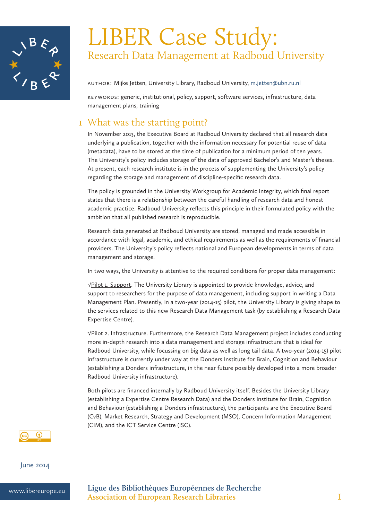

# LIBER Case Study: Research Data Management at Radboud University

Author: Mijke Jetten, University Library, Radboud University, m.jetten@ubn.ru.nl

Keywords: generic, institutional, policy, support, software services, infrastructure, data management plans, training

# 1 What was the starting point?

In November 2013, the Executive Board at Radboud University declared that all research data underlying a publication, together with the information necessary for potential reuse of data (metadata), have to be stored at the time of publication for a minimum period of ten years. The University's policy includes storage of the data of approved Bachelor's and Master's theses. At present, each research institute is in the process of supplementing the University's policy regarding the storage and management of discipline-specific research data.

The policy is grounded in the University Workgroup for Academic Integrity, which final report states that there is a relationship between the careful handling of research data and honest academic practice. Radboud University reflects this principle in their formulated policy with the ambition that all published research is reproducible.

Research data generated at Radboud University are stored, managed and made accessible in accordance with legal, academic, and ethical requirements as well as the requirements of financial providers. The University's policy reflects national and European developments in terms of data management and storage.

In two ways, the University is attentive to the required conditions for proper data management:

√Pilot 1. Support. The University Library is appointed to provide knowledge, advice, and support to researchers for the purpose of data management, including support in writing a Data Management Plan. Presently, in a two-year (2014-15) pilot, the University Library is giving shape to the services related to this new Research Data Management task (by establishing a Research Data Expertise Centre).

√Pilot 2. Infrastructure. Furthermore, the Research Data Management project includes conducting more in-depth research into a data management and storage infrastructure that is ideal for Radboud University, while focussing on big data as well as long tail data. A two-year (2014-15) pilot infrastructure is currently under way at the Donders Institute for Brain, Cognition and Behaviour (establishing a Donders infrastructure, in the near future possibly developed into a more broader Radboud University infrastructure).

Both pilots are financed internally by Radboud University itself. Besides the University Library (establishing a Expertise Centre Research Data) and the Donders Institute for Brain, Cognition and Behaviour (establishing a Donders infrastructure), the participants are the Executive Board (CvB), Market Research, Strategy and Development (MSO), Concern Information Management (CIM), and the ICT Service Centre (ISC).



### June 2014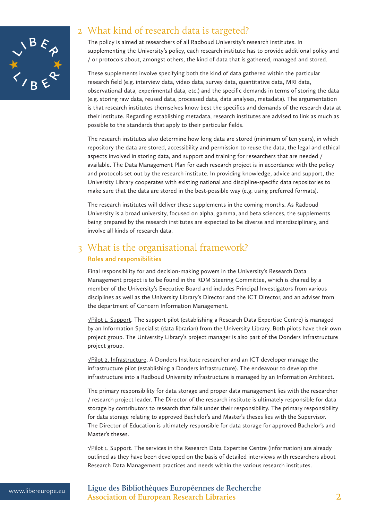

# 2 What kind of research data is targeted?

The policy is aimed at researchers of all Radboud University's research institutes. In supplementing the University's policy, each research institute has to provide additional policy and / or protocols about, amongst others, the kind of data that is gathered, managed and stored.

These supplements involve specifying both the kind of data gathered within the particular research field (e.g. interview data, video data, survey data, quantitative data, MRI data, observational data, experimental data, etc.) and the specific demands in terms of storing the data (e.g. storing raw data, reused data, processed data, data analyses, metadata). The argumentation is that research institutes themselves know best the specifics and demands of the research data at their institute. Regarding establishing metadata, research institutes are advised to link as much as possible to the standards that apply to their particular fields.

The research institutes also determine how long data are stored (minimum of ten years), in which repository the data are stored, accessibility and permission to reuse the data, the legal and ethical aspects involved in storing data, and support and training for researchers that are needed / available. The Data Management Plan for each research project is in accordance with the policy and protocols set out by the research institute. In providing knowledge, advice and support, the University Library cooperates with existing national and discipline-specific data repositories to make sure that the data are stored in the best-possible way (e.g. using preferred formats).

The research institutes will deliver these supplements in the coming months. As Radboud University is a broad university, focused on alpha, gamma, and beta sciences, the supplements being prepared by the research institutes are expected to be diverse and interdisciplinary, and involve all kinds of research data.

### 3 What is the organisational framework? **Roles and responsibilities**

Final responsibility for and decision-making powers in the University's Research Data Management project is to be found in the RDM Steering Committee, which is chaired by a member of the University's Executive Board and includes Principal Investigators from various disciplines as well as the University Library's Director and the ICT Director, and an adviser from the department of Concern Information Management.

√Pilot 1. Support. The support pilot (establishing a Research Data Expertise Centre) is managed by an Information Specialist (data librarian) from the University Library. Both pilots have their own project group. The University Library's project manager is also part of the Donders Infrastructure project group.

√Pilot 2. Infrastructure. A Donders Institute researcher and an ICT developer manage the infrastructure pilot (establishing a Donders infrastructure). The endeavour to develop the infrastructure into a Radboud University infrastructure is managed by an Information Architect.

The primary responsibility for data storage and proper data management lies with the researcher / research project leader. The Director of the research institute is ultimately responsible for data storage by contributors to research that falls under their responsibility. The primary responsibility for data storage relating to approved Bachelor's and Master's theses lies with the Supervisor. The Director of Education is ultimately responsible for data storage for approved Bachelor's and Master's theses.

√Pilot 1. Support. The services in the Research Data Expertise Centre (information) are already outlined as they have been developed on the basis of detailed interviews with researchers about Research Data Management practices and needs within the various research institutes.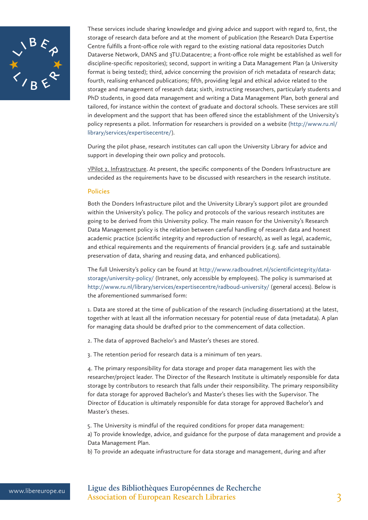

These services include sharing knowledge and giving advice and support with regard to, first, the storage of research data before and at the moment of publication (the Research Data Expertise Centre fulfills a front-office role with regard to the existing national data repositories Dutch Dataverse Network, DANS and 3TU.Datacentre; a front-office role might be established as well for discipline-specific repositories); second, support in writing a Data Management Plan (a University format is being tested); third, advice concerning the provision of rich metadata of research data; fourth, realising enhanced publications; fifth, providing legal and ethical advice related to the storage and management of research data; sixth, instructing researchers, particularly students and PhD students, in good data management and writing a Data Management Plan, both general and tailored, for instance within the context of graduate and doctoral schools. These services are still in development and the support that has been offered since the establishment of the University's policy represents a pilot. Information for researchers is provided on a website (http://www.ru.nl/ library/services/expertisecentre/).

During the pilot phase, research institutes can call upon the University Library for advice and support in developing their own policy and protocols.

√Pilot 2. Infrastructure. At present, the specific components of the Donders Infrastructure are undecided as the requirements have to be discussed with researchers in the research institute.

#### **Policies**

Both the Donders Infrastructure pilot and the University Library's support pilot are grounded within the University's policy. The policy and protocols of the various research institutes are going to be derived from this University policy. The main reason for the University's Research Data Management policy is the relation between careful handling of research data and honest academic practice (scientific integrity and reproduction of research), as well as legal, academic, and ethical requirements and the requirements of financial providers (e.g. safe and sustainable preservation of data, sharing and reusing data, and enhanced publications).

The full University's policy can be found at http://www.radboudnet.nl/scientificintegrity/datastorage/university-policy/ (Intranet, only accessible by employees). The policy is summarised at http://www.ru.nl/library/services/expertisecentre/radboud-university/ (general access). Below is the aforementioned summarised form:

1. Data are stored at the time of publication of the research (including dissertations) at the latest, together with at least all the information necessary for potential reuse of data (metadata). A plan for managing data should be drafted prior to the commencement of data collection.

2. The data of approved Bachelor's and Master's theses are stored.

3. The retention period for research data is a minimum of ten years.

4. The primary responsibility for data storage and proper data management lies with the researcher/project leader. The Director of the Research Institute is ultimately responsible for data storage by contributors to research that falls under their responsibility. The primary responsibility for data storage for approved Bachelor's and Master's theses lies with the Supervisor. The Director of Education is ultimately responsible for data storage for approved Bachelor's and Master's theses.

5. The University is mindful of the required conditions for proper data management:

a) To provide knowledge, advice, and guidance for the purpose of data management and provide a Data Management Plan.

b) To provide an adequate infrastructure for data storage and management, during and after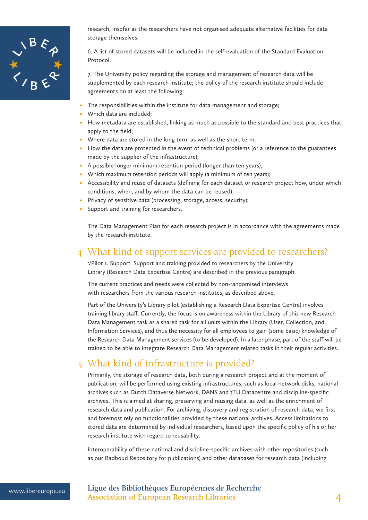

research, insofar as the researchers have not organised adequate alternative facilities for data storage themselves.

6. A list of stored datasets will be included in the self-evaluation of the Standard Evaluation Protocol.

7. The University policy regarding the storage and management of research data will be supplemented by each research institute; the policy of the research institute should include agreements on at least the following:

- The responsibilities within the institute for data management and storage;
- Which data are included;
- How metadata are established, linking as much as possible to the standard and best practices that apply to the field;
- Where data are stored in the long term as well as the short term;
- How the data are protected in the event of technical problems (or a reference to the guarantees made by the supplier of the infrastructure);
- A possible longer minimum retention period (longer than ten years);
- Which maximum retention periods will apply (a minimum of ten years);
- Accessibility and reuse of datasets (defining for each dataset or research project how, under which conditions, when, and by whom the data can be reused);
- Privacy of sensitive data (processing, storage, access, security);
- • Support and training for researchers.

The Data Management Plan for each research project is in accordance with the agreements made by the research institute.

### 4 What kind of support services are provided to researchers?

√Pilot 1. Support. Support and training provided to researchers by the University Library (Research Data Expertise Centre) are described in the previous paragraph.

The current practices and needs were collected by non-randomised interviews with researchers from the various research institutes, as described above.

Part of the University's Library pilot (establishing a Research Data Expertise Centre) involves training library staff. Currently, the focus is on awareness within the Library of this new Research Data Management task as a shared task for all units within the Library (User, Collection, and Information Services), and thus the necessity for all employees to gain (some basic) knowledge of the Research Data Management services (to be developed). In a later phase, part of the staff will be trained to be able to integrate Research Data Management related tasks in their regular activities.

### 5 What kind of infrastructure is provided?

Primarily, the storage of research data, both during a research project and at the moment of publication, will be performed using existing infrastructures, such as local network disks, national archives such as Dutch Dataverse Network, DANS and 3TU.Datacentre and discipline-specific archives. This is aimed at sharing, preserving and reusing data, as well as the enrichment of research data and publication. For archiving, discovery and registration of research data, we first and foremost rely on functionalities provided by these national archives. Access limitations to stored data are determined by individual researchers, based upon the specific policy of his or her research institute with regard to reusability.

Interoperability of these national and discipline-specific archives with other repositories (such as our Radboud Repository for publications) and other databases for research data (including